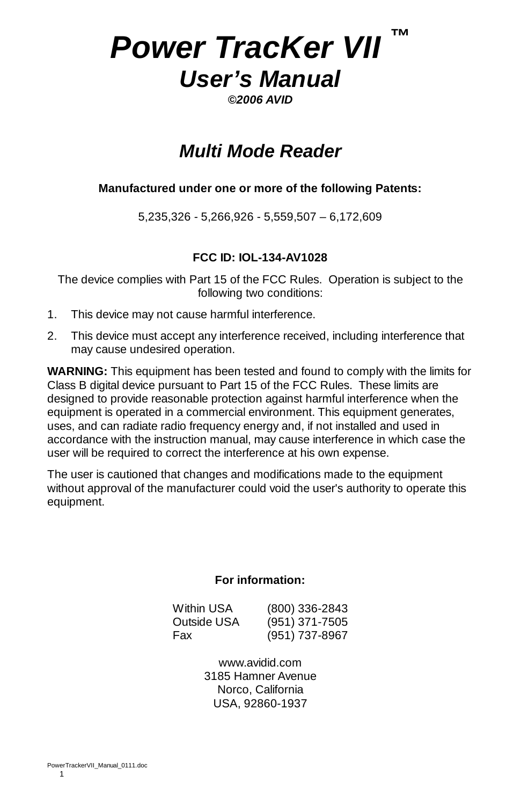# *Power TracKer VII ™ User's Manual*

*©2006 AVID* 

# *Multi Mode Reader*

#### **Manufactured under one or more of the following Patents:**

5,235,326 - 5,266,926 - 5,559,507 – 6,172,609

# **FCC ID: IOL-134-AV1028**

The device complies with Part 15 of the FCC Rules. Operation is subject to the following two conditions:

- 1. This device may not cause harmful interference.
- 2. This device must accept any interference received, including interference that may cause undesired operation.

**WARNING:** This equipment has been tested and found to comply with the limits for Class B digital device pursuant to Part 15 of the FCC Rules. These limits are designed to provide reasonable protection against harmful interference when the equipment is operated in a commercial environment. This equipment generates, uses, and can radiate radio frequency energy and, if not installed and used in accordance with the instruction manual, may cause interference in which case the user will be required to correct the interference at his own expense.

The user is cautioned that changes and modifications made to the equipment without approval of the manufacturer could void the user's authority to operate this equipment.

#### **For information:**

| Within USA  | $(800)$ 336-2843 |
|-------------|------------------|
| Outside USA | $(951)$ 371-7505 |
| Fax         | (951) 737-8967   |

www.avidid.com 3185 Hamner Avenue Norco, California USA, 92860-1937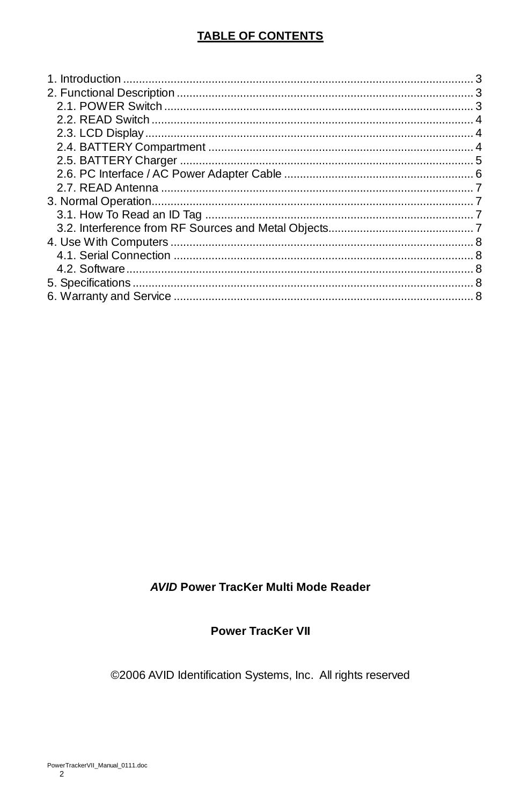# **TABLE OF CONTENTS**

### **AVID Power TracKer Multi Mode Reader**

### **Power TracKer VII**

©2006 AVID Identification Systems, Inc. All rights reserved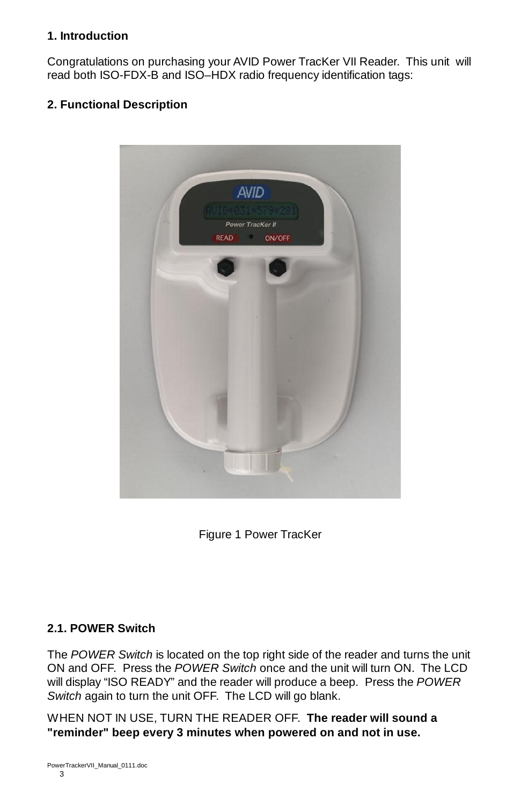#### **1. Introduction**

Congratulations on purchasing your AVID Power TracKer VII Reader. This unit will read both ISO-FDX-B and ISO–HDX radio frequency identification tags:

## **2. Functional Description**



Figure 1 Power TracKer

#### **2.1. POWER Switch**

The *POWER Switch* is located on the top right side of the reader and turns the unit ON and OFF. Press the *POWER Switch* once and the unit will turn ON. The LCD will display "ISO READY" and the reader will produce a beep. Press the *POWER Switch* again to turn the unit OFF. The LCD will go blank.

WHEN NOT IN USE, TURN THE READER OFF. **The reader will sound a "reminder" beep every 3 minutes when powered on and not in use.**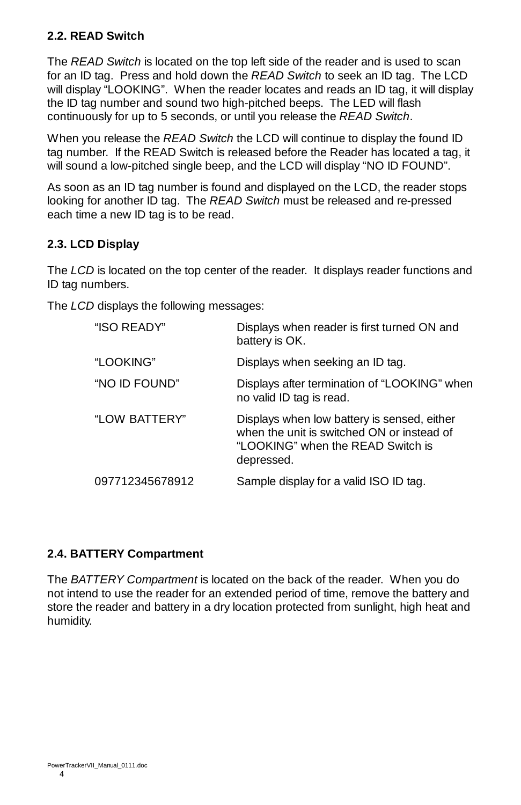# **2.2. READ Switch**

The *READ Switch* is located on the top left side of the reader and is used to scan for an ID tag. Press and hold down the *READ Switch* to seek an ID tag. The LCD will display "LOOKING". When the reader locates and reads an ID tag, it will display the ID tag number and sound two high-pitched beeps. The LED will flash continuously for up to 5 seconds, or until you release the *READ Switch*.

When you release the *READ Switch* the LCD will continue to display the found ID tag number. If the READ Switch is released before the Reader has located a tag, it will sound a low-pitched single beep, and the LCD will display "NO ID FOUND".

As soon as an ID tag number is found and displayed on the LCD, the reader stops looking for another ID tag. The *READ Switch* must be released and re-pressed each time a new ID tag is to be read.

# **2.3. LCD Display**

The *LCD* is located on the top center of the reader. It displays reader functions and ID tag numbers.

The *LCD* displays the following messages:

| "ISO READY"     | Displays when reader is first turned ON and<br>battery is OK.                                                                                |
|-----------------|----------------------------------------------------------------------------------------------------------------------------------------------|
| "LOOKING"       | Displays when seeking an ID tag.                                                                                                             |
| "NO ID FOUND"   | Displays after termination of "LOOKING" when<br>no valid ID tag is read.                                                                     |
| "LOW BATTERY"   | Displays when low battery is sensed, either<br>when the unit is switched ON or instead of<br>"LOOKING" when the READ Switch is<br>depressed. |
| 097712345678912 | Sample display for a valid ISO ID tag.                                                                                                       |

#### **2.4. BATTERY Compartment**

The *BATTERY Compartment* is located on the back of the reader. When you do not intend to use the reader for an extended period of time, remove the battery and store the reader and battery in a dry location protected from sunlight, high heat and humidity.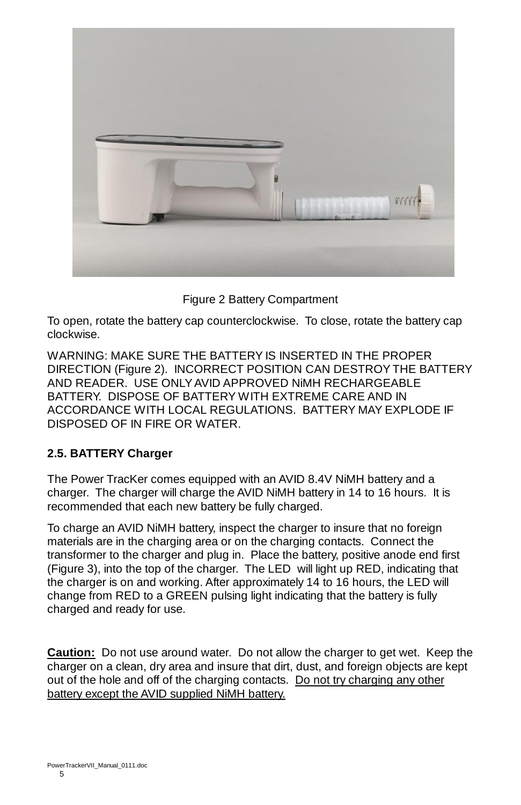

Figure 2 Battery Compartment

To open, rotate the battery cap counterclockwise. To close, rotate the battery cap clockwise.

WARNING: MAKE SURE THE BATTERY IS INSERTED IN THE PROPER DIRECTION (Figure 2). INCORRECT POSITION CAN DESTROY THE BATTERY AND READER. USE ONLY AVID APPROVED NiMH RECHARGEABLE BATTERY. DISPOSE OF BATTERY WITH EXTREME CARE AND IN ACCORDANCE WITH LOCAL REGULATIONS. BATTERY MAY EXPLODE IF DISPOSED OF IN FIRE OR WATER.

# **2.5. BATTERY Charger**

The Power TracKer comes equipped with an AVID 8.4V NiMH battery and a charger. The charger will charge the AVID NiMH battery in 14 to 16 hours. It is recommended that each new battery be fully charged.

To charge an AVID NiMH battery, inspect the charger to insure that no foreign materials are in the charging area or on the charging contacts. Connect the transformer to the charger and plug in. Place the battery, positive anode end first (Figure 3), into the top of the charger. The LED will light up RED, indicating that the charger is on and working. After approximately 14 to 16 hours, the LED will change from RED to a GREEN pulsing light indicating that the battery is fully charged and ready for use.

**Caution:** Do not use around water. Do not allow the charger to get wet. Keep the charger on a clean, dry area and insure that dirt, dust, and foreign objects are kept out of the hole and off of the charging contacts. Do not try charging any other battery except the AVID supplied NiMH battery.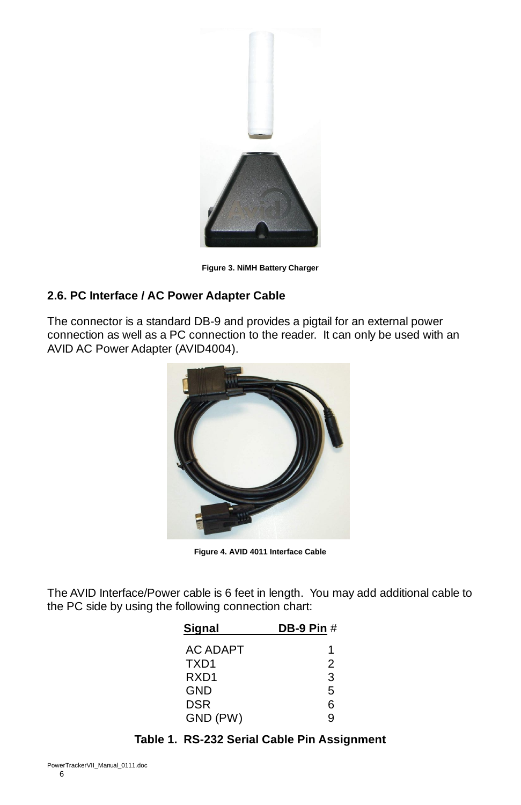

**Figure 3. NiMH Battery Charger**

### **2.6. PC Interface / AC Power Adapter Cable**

The connector is a standard DB-9 and provides a pigtail for an external power connection as well as a PC connection to the reader. It can only be used with an AVID AC Power Adapter (AVID4004).



**Figure 4. AVID 4011 Interface Cable**

The AVID Interface/Power cable is 6 feet in length. You may add additional cable to the PC side by using the following connection chart:

| Sianal   | <b>DB-9 Pin #</b> |
|----------|-------------------|
| AC ADAPT | 1                 |
| TXD1     | 2                 |
| RXD1     | 3                 |
| GND      | 5                 |
| DSR      | 6                 |
| GND (PW) | q                 |

### **Table 1. RS-232 Serial Cable Pin Assignment**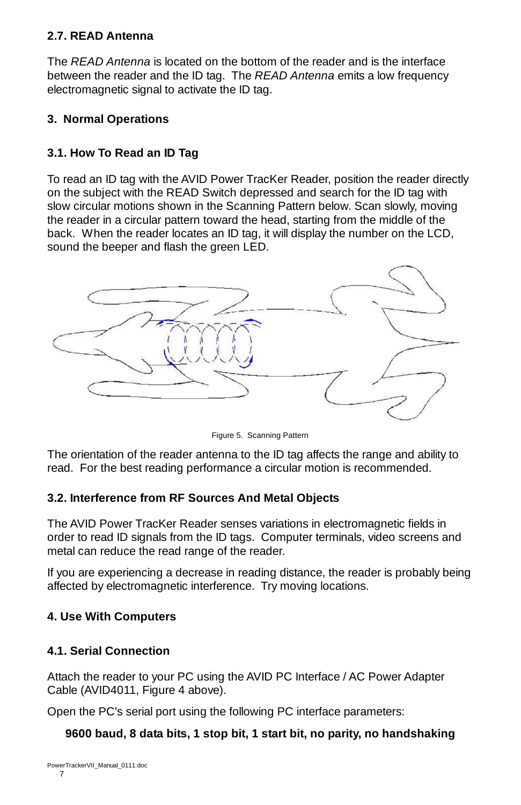# **2.7. READ Antenna**

The *READ Antenna* is located on the bottom of the reader and is the interface between the reader and the ID tag. The *READ Antenna* emits a low frequency electromagnetic signal to activate the ID tag.

# **3. Normal Operations**

# **3.1. How To Read an ID Tag**

To read an ID tag with the AVID Power TracKer Reader, position the reader directly on the subject with the READ Switch depressed and search for the ID tag with slow circular motions shown in the Scanning Pattern below. Scan slowly, moving the reader in a circular pattern toward the head, starting from the middle of the back. When the reader locates an ID tag, it will display the number on the LCD, sound the beeper and flash the green LED.



Figure 5. Scanning Pattern

The orientation of the reader antenna to the ID tag affects the range and ability to read. For the best reading performance a circular motion is recommended.

# **3.2. Interference from RF Sources And Metal Objects**

The AVID Power TracKer Reader senses variations in electromagnetic fields in order to read ID signals from the ID tags. Computer terminals, video screens and metal can reduce the read range of the reader.

If you are experiencing a decrease in reading distance, the reader is probably being affected by electromagnetic interference. Try moving locations.

# **4. Use With Computers**

#### **4.1. Serial Connection**

Attach the reader to your PC using the AVID PC Interface / AC Power Adapter Cable (AVID4011, Figure 4 above).

Open the PC's serial port using the following PC interface parameters:

# **9600 baud, 8 data bits, 1 stop bit, 1 start bit, no parity, no handshaking**